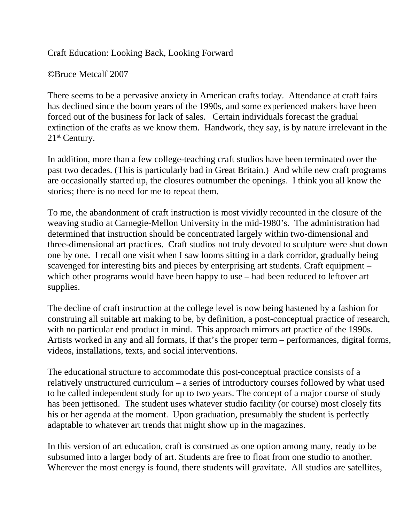Craft Education: Looking Back, Looking Forward

©Bruce Metcalf 2007

There seems to be a pervasive anxiety in American crafts today. Attendance at craft fairs has declined since the boom years of the 1990s, and some experienced makers have been forced out of the business for lack of sales. Certain individuals forecast the gradual extinction of the crafts as we know them. Handwork, they say, is by nature irrelevant in the 21<sup>st</sup> Century.

In addition, more than a few college-teaching craft studios have been terminated over the past two decades. (This is particularly bad in Great Britain.) And while new craft programs are occasionally started up, the closures outnumber the openings. I think you all know the stories; there is no need for me to repeat them.

To me, the abandonment of craft instruction is most vividly recounted in the closure of the weaving studio at Carnegie-Mellon University in the mid-1980's. The administration had determined that instruction should be concentrated largely within two-dimensional and three-dimensional art practices. Craft studios not truly devoted to sculpture were shut down one by one. I recall one visit when I saw looms sitting in a dark corridor, gradually being scavenged for interesting bits and pieces by enterprising art students. Craft equipment – which other programs would have been happy to use – had been reduced to leftover art supplies.

The decline of craft instruction at the college level is now being hastened by a fashion for construing all suitable art making to be, by definition, a post-conceptual practice of research, with no particular end product in mind. This approach mirrors art practice of the 1990s. Artists worked in any and all formats, if that's the proper term – performances, digital forms, videos, installations, texts, and social interventions.

The educational structure to accommodate this post-conceptual practice consists of a relatively unstructured curriculum – a series of introductory courses followed by what used to be called independent study for up to two years. The concept of a major course of study has been jettisoned. The student uses whatever studio facility (or course) most closely fits his or her agenda at the moment. Upon graduation, presumably the student is perfectly adaptable to whatever art trends that might show up in the magazines.

In this version of art education, craft is construed as one option among many, ready to be subsumed into a larger body of art. Students are free to float from one studio to another. Wherever the most energy is found, there students will gravitate. All studios are satellites,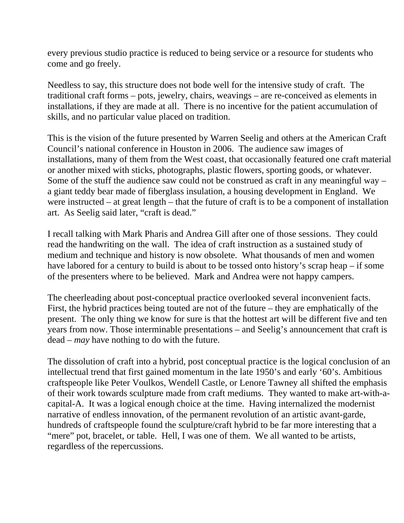every previous studio practice is reduced to being service or a resource for students who come and go freely.

Needless to say, this structure does not bode well for the intensive study of craft. The traditional craft forms – pots, jewelry, chairs, weavings – are re-conceived as elements in installations, if they are made at all. There is no incentive for the patient accumulation of skills, and no particular value placed on tradition.

This is the vision of the future presented by Warren Seelig and others at the American Craft Council's national conference in Houston in 2006. The audience saw images of installations, many of them from the West coast, that occasionally featured one craft material or another mixed with sticks, photographs, plastic flowers, sporting goods, or whatever. Some of the stuff the audience saw could not be construed as craft in any meaningful way – a giant teddy bear made of fiberglass insulation, a housing development in England. We were instructed – at great length – that the future of craft is to be a component of installation art. As Seelig said later, "craft is dead."

I recall talking with Mark Pharis and Andrea Gill after one of those sessions. They could read the handwriting on the wall. The idea of craft instruction as a sustained study of medium and technique and history is now obsolete. What thousands of men and women have labored for a century to build is about to be tossed onto history's scrap heap – if some of the presenters where to be believed. Mark and Andrea were not happy campers.

The cheerleading about post-conceptual practice overlooked several inconvenient facts. First, the hybrid practices being touted are not of the future – they are emphatically of the present. The only thing we know for sure is that the hottest art will be different five and ten years from now. Those interminable presentations – and Seelig's announcement that craft is dead – *may* have nothing to do with the future.

The dissolution of craft into a hybrid, post conceptual practice is the logical conclusion of an intellectual trend that first gained momentum in the late 1950's and early '60's. Ambitious craftspeople like Peter Voulkos, Wendell Castle, or Lenore Tawney all shifted the emphasis of their work towards sculpture made from craft mediums. They wanted to make art-with-acapital-A. It was a logical enough choice at the time. Having internalized the modernist narrative of endless innovation, of the permanent revolution of an artistic avant-garde, hundreds of craftspeople found the sculpture/craft hybrid to be far more interesting that a "mere" pot, bracelet, or table. Hell, I was one of them. We all wanted to be artists, regardless of the repercussions.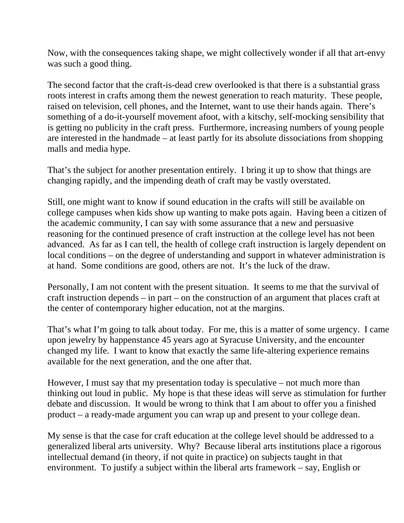Now, with the consequences taking shape, we might collectively wonder if all that art-envy was such a good thing.

The second factor that the craft-is-dead crew overlooked is that there is a substantial grass roots interest in crafts among them the newest generation to reach maturity. These people, raised on television, cell phones, and the Internet, want to use their hands again. There's something of a do-it-yourself movement afoot, with a kitschy, self-mocking sensibility that is getting no publicity in the craft press. Furthermore, increasing numbers of young people are interested in the handmade – at least partly for its absolute dissociations from shopping malls and media hype.

That's the subject for another presentation entirely. I bring it up to show that things are changing rapidly, and the impending death of craft may be vastly overstated.

Still, one might want to know if sound education in the crafts will still be available on college campuses when kids show up wanting to make pots again. Having been a citizen of the academic community, I can say with some assurance that a new and persuasive reasoning for the continued presence of craft instruction at the college level has not been advanced. As far as I can tell, the health of college craft instruction is largely dependent on local conditions – on the degree of understanding and support in whatever administration is at hand. Some conditions are good, others are not. It's the luck of the draw.

Personally, I am not content with the present situation. It seems to me that the survival of craft instruction depends – in part – on the construction of an argument that places craft at the center of contemporary higher education, not at the margins.

That's what I'm going to talk about today. For me, this is a matter of some urgency. I came upon jewelry by happenstance 45 years ago at Syracuse University, and the encounter changed my life. I want to know that exactly the same life-altering experience remains available for the next generation, and the one after that.

However, I must say that my presentation today is speculative – not much more than thinking out loud in public. My hope is that these ideas will serve as stimulation for further debate and discussion. It would be wrong to think that I am about to offer you a finished product – a ready-made argument you can wrap up and present to your college dean.

My sense is that the case for craft education at the college level should be addressed to a generalized liberal arts university. Why? Because liberal arts institutions place a rigorous intellectual demand (in theory, if not quite in practice) on subjects taught in that environment. To justify a subject within the liberal arts framework – say, English or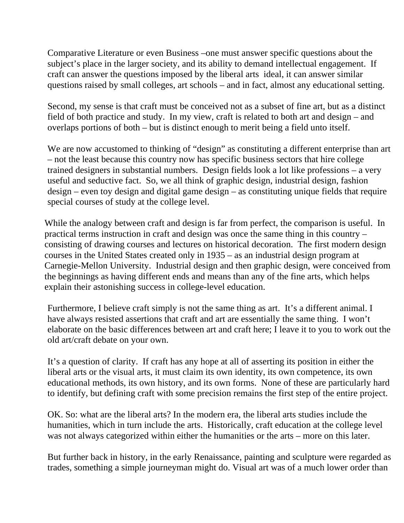Comparative Literature or even Business –one must answer specific questions about the subject's place in the larger society, and its ability to demand intellectual engagement. If craft can answer the questions imposed by the liberal arts ideal, it can answer similar questions raised by small colleges, art schools – and in fact, almost any educational setting.

Second, my sense is that craft must be conceived not as a subset of fine art, but as a distinct field of both practice and study. In my view, craft is related to both art and design – and overlaps portions of both – but is distinct enough to merit being a field unto itself.

We are now accustomed to thinking of "design" as constituting a different enterprise than art – not the least because this country now has specific business sectors that hire college trained designers in substantial numbers. Design fields look a lot like professions – a very useful and seductive fact. So, we all think of graphic design, industrial design, fashion design – even toy design and digital game design – as constituting unique fields that require special courses of study at the college level.

While the analogy between craft and design is far from perfect, the comparison is useful. In practical terms instruction in craft and design was once the same thing in this country – consisting of drawing courses and lectures on historical decoration. The first modern design courses in the United States created only in 1935 – as an industrial design program at Carnegie-Mellon University. Industrial design and then graphic design, were conceived from the beginnings as having different ends and means than any of the fine arts, which helps explain their astonishing success in college-level education.

Furthermore, I believe craft simply is not the same thing as art. It's a different animal. I have always resisted assertions that craft and art are essentially the same thing. I won't elaborate on the basic differences between art and craft here; I leave it to you to work out the old art/craft debate on your own.

It's a question of clarity. If craft has any hope at all of asserting its position in either the liberal arts or the visual arts, it must claim its own identity, its own competence, its own educational methods, its own history, and its own forms. None of these are particularly hard to identify, but defining craft with some precision remains the first step of the entire project.

OK. So: what are the liberal arts? In the modern era, the liberal arts studies include the humanities, which in turn include the arts. Historically, craft education at the college level was not always categorized within either the humanities or the arts – more on this later.

But further back in history, in the early Renaissance, painting and sculpture were regarded as trades, something a simple journeyman might do. Visual art was of a much lower order than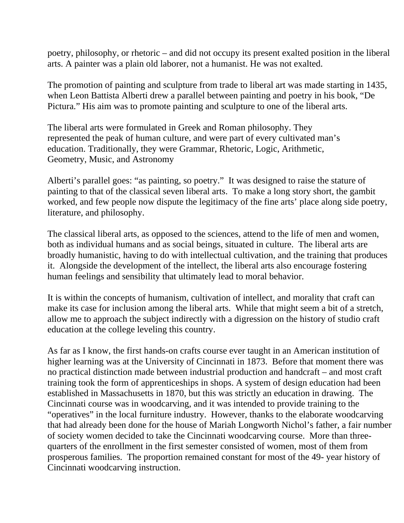poetry, philosophy, or rhetoric – and did not occupy its present exalted position in the liberal arts. A painter was a plain old laborer, not a humanist. He was not exalted.

The promotion of painting and sculpture from trade to liberal art was made starting in 1435, when Leon Battista Alberti drew a parallel between painting and poetry in his book, "De Pictura." His aim was to promote painting and sculpture to one of the liberal arts.

The liberal arts were formulated in Greek and Roman philosophy. They represented the peak of human culture, and were part of every cultivated man's education. Traditionally, they were Grammar, Rhetoric, Logic, Arithmetic, Geometry, Music, and Astronomy

Alberti's parallel goes: "as painting, so poetry." It was designed to raise the stature of painting to that of the classical seven liberal arts. To make a long story short, the gambit worked, and few people now dispute the legitimacy of the fine arts' place along side poetry, literature, and philosophy.

The classical liberal arts, as opposed to the sciences, attend to the life of men and women, both as individual humans and as social beings, situated in culture. The liberal arts are broadly humanistic, having to do with intellectual cultivation, and the training that produces it. Alongside the development of the intellect, the liberal arts also encourage fostering human feelings and sensibility that ultimately lead to moral behavior.

It is within the concepts of humanism, cultivation of intellect, and morality that craft can make its case for inclusion among the liberal arts. While that might seem a bit of a stretch, allow me to approach the subject indirectly with a digression on the history of studio craft education at the college leveling this country.

As far as I know, the first hands-on crafts course ever taught in an American institution of higher learning was at the University of Cincinnati in 1873. Before that moment there was no practical distinction made between industrial production and handcraft – and most craft training took the form of apprenticeships in shops. A system of design education had been established in Massachusetts in 1870, but this was strictly an education in drawing. The Cincinnati course was in woodcarving, and it was intended to provide training to the "operatives" in the local furniture industry. However, thanks to the elaborate woodcarving that had already been done for the house of Mariah Longworth Nichol's father, a fair number of society women decided to take the Cincinnati woodcarving course. More than threequarters of the enrollment in the first semester consisted of women, most of them from prosperous families. The proportion remained constant for most of the 49- year history of Cincinnati woodcarving instruction.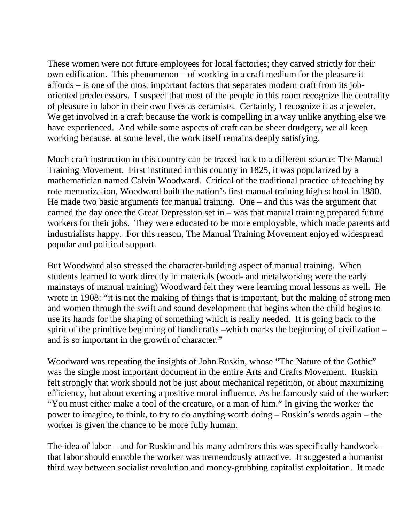These women were not future employees for local factories; they carved strictly for their own edification. This phenomenon – of working in a craft medium for the pleasure it affords – is one of the most important factors that separates modern craft from its joboriented predecessors. I suspect that most of the people in this room recognize the centrality of pleasure in labor in their own lives as ceramists. Certainly, I recognize it as a jeweler. We get involved in a craft because the work is compelling in a way unlike anything else we have experienced. And while some aspects of craft can be sheer drudgery, we all keep working because, at some level, the work itself remains deeply satisfying.

Much craft instruction in this country can be traced back to a different source: The Manual Training Movement. First instituted in this country in 1825, it was popularized by a mathematician named Calvin Woodward. Critical of the traditional practice of teaching by rote memorization, Woodward built the nation's first manual training high school in 1880. He made two basic arguments for manual training. One – and this was the argument that carried the day once the Great Depression set in – was that manual training prepared future workers for their jobs. They were educated to be more employable, which made parents and industrialists happy. For this reason, The Manual Training Movement enjoyed widespread popular and political support.

But Woodward also stressed the character-building aspect of manual training. When students learned to work directly in materials (wood- and metalworking were the early mainstays of manual training) Woodward felt they were learning moral lessons as well. He wrote in 1908: "it is not the making of things that is important, but the making of strong men and women through the swift and sound development that begins when the child begins to use its hands for the shaping of something which is really needed. It is going back to the spirit of the primitive beginning of handicrafts –which marks the beginning of civilization – and is so important in the growth of character."

Woodward was repeating the insights of John Ruskin, whose "The Nature of the Gothic" was the single most important document in the entire Arts and Crafts Movement. Ruskin felt strongly that work should not be just about mechanical repetition, or about maximizing efficiency, but about exerting a positive moral influence. As he famously said of the worker: "You must either make a tool of the creature, or a man of him." In giving the worker the power to imagine, to think, to try to do anything worth doing – Ruskin's words again – the worker is given the chance to be more fully human.

The idea of labor – and for Ruskin and his many admirers this was specifically handwork – that labor should ennoble the worker was tremendously attractive. It suggested a humanist third way between socialist revolution and money-grubbing capitalist exploitation. It made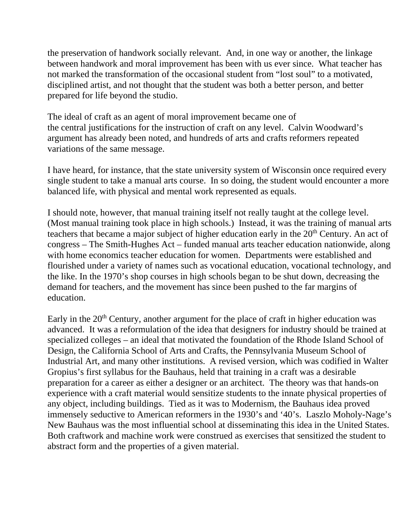the preservation of handwork socially relevant. And, in one way or another, the linkage between handwork and moral improvement has been with us ever since. What teacher has not marked the transformation of the occasional student from "lost soul" to a motivated, disciplined artist, and not thought that the student was both a better person, and better prepared for life beyond the studio.

The ideal of craft as an agent of moral improvement became one of the central justifications for the instruction of craft on any level. Calvin Woodward's argument has already been noted, and hundreds of arts and crafts reformers repeated variations of the same message.

I have heard, for instance, that the state university system of Wisconsin once required every single student to take a manual arts course. In so doing, the student would encounter a more balanced life, with physical and mental work represented as equals.

I should note, however, that manual training itself not really taught at the college level. (Most manual training took place in high schools.) Instead, it was the training of manual arts teachers that became a major subject of higher education early in the 20<sup>th</sup> Century. An act of congress – The Smith-Hughes Act – funded manual arts teacher education nationwide, along with home economics teacher education for women. Departments were established and flourished under a variety of names such as vocational education, vocational technology, and the like. In the 1970's shop courses in high schools began to be shut down, decreasing the demand for teachers, and the movement has since been pushed to the far margins of education.

Early in the  $20<sup>th</sup>$  Century, another argument for the place of craft in higher education was advanced. It was a reformulation of the idea that designers for industry should be trained at specialized colleges – an ideal that motivated the foundation of the Rhode Island School of Design, the California School of Arts and Crafts, the Pennsylvania Museum School of Industrial Art, and many other institutions. A revised version, which was codified in Walter Gropius's first syllabus for the Bauhaus, held that training in a craft was a desirable preparation for a career as either a designer or an architect. The theory was that hands-on experience with a craft material would sensitize students to the innate physical properties of any object, including buildings. Tied as it was to Modernism, the Bauhaus idea proved immensely seductive to American reformers in the 1930's and '40's. Laszlo Moholy-Nage's New Bauhaus was the most influential school at disseminating this idea in the United States. Both craftwork and machine work were construed as exercises that sensitized the student to abstract form and the properties of a given material.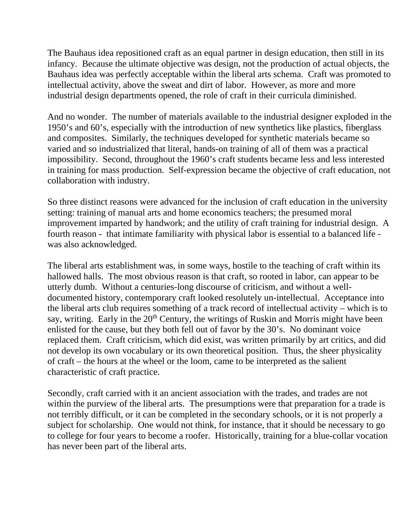The Bauhaus idea repositioned craft as an equal partner in design education, then still in its infancy. Because the ultimate objective was design, not the production of actual objects, the Bauhaus idea was perfectly acceptable within the liberal arts schema. Craft was promoted to intellectual activity, above the sweat and dirt of labor. However, as more and more industrial design departments opened, the role of craft in their curricula diminished.

And no wonder. The number of materials available to the industrial designer exploded in the 1950's and 60's, especially with the introduction of new synthetics like plastics, fiberglass and composites. Similarly, the techniques developed for synthetic materials became so varied and so industrialized that literal, hands-on training of all of them was a practical impossibility. Second, throughout the 1960's craft students became less and less interested in training for mass production. Self-expression became the objective of craft education, not collaboration with industry.

So three distinct reasons were advanced for the inclusion of craft education in the university setting: training of manual arts and home economics teachers; the presumed moral improvement imparted by handwork; and the utility of craft training for industrial design. A fourth reason - that intimate familiarity with physical labor is essential to a balanced life was also acknowledged.

The liberal arts establishment was, in some ways, hostile to the teaching of craft within its hallowed halls. The most obvious reason is that craft, so rooted in labor, can appear to be utterly dumb. Without a centuries-long discourse of criticism, and without a welldocumented history, contemporary craft looked resolutely un-intellectual. Acceptance into the liberal arts club requires something of a track record of intellectual activity – which is to say, writing. Early in the  $20<sup>th</sup>$  Century, the writings of Ruskin and Morris might have been enlisted for the cause, but they both fell out of favor by the 30's. No dominant voice replaced them. Craft criticism, which did exist, was written primarily by art critics, and did not develop its own vocabulary or its own theoretical position. Thus, the sheer physicality of craft – the hours at the wheel or the loom, came to be interpreted as the salient characteristic of craft practice.

Secondly, craft carried with it an ancient association with the trades, and trades are not within the purview of the liberal arts. The presumptions were that preparation for a trade is not terribly difficult, or it can be completed in the secondary schools, or it is not properly a subject for scholarship. One would not think, for instance, that it should be necessary to go to college for four years to become a roofer. Historically, training for a blue-collar vocation has never been part of the liberal arts.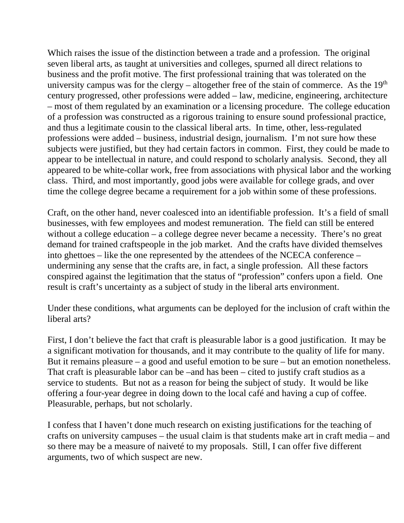Which raises the issue of the distinction between a trade and a profession. The original seven liberal arts, as taught at universities and colleges, spurned all direct relations to business and the profit motive. The first professional training that was tolerated on the university campus was for the clergy – altogether free of the stain of commerce. As the  $19<sup>th</sup>$ century progressed, other professions were added – law, medicine, engineering, architecture – most of them regulated by an examination or a licensing procedure. The college education of a profession was constructed as a rigorous training to ensure sound professional practice, and thus a legitimate cousin to the classical liberal arts. In time, other, less-regulated professions were added – business, industrial design, journalism. I'm not sure how these subjects were justified, but they had certain factors in common. First, they could be made to appear to be intellectual in nature, and could respond to scholarly analysis. Second, they all appeared to be white-collar work, free from associations with physical labor and the working class. Third, and most importantly, good jobs were available for college grads, and over time the college degree became a requirement for a job within some of these professions.

Craft, on the other hand, never coalesced into an identifiable profession. It's a field of small businesses, with few employees and modest remuneration. The field can still be entered without a college education – a college degree never became a necessity. There's no great demand for trained craftspeople in the job market. And the crafts have divided themselves into ghettoes – like the one represented by the attendees of the NCECA conference – undermining any sense that the crafts are, in fact, a single profession. All these factors conspired against the legitimation that the status of "profession" confers upon a field. One result is craft's uncertainty as a subject of study in the liberal arts environment.

Under these conditions, what arguments can be deployed for the inclusion of craft within the liberal arts?

First, I don't believe the fact that craft is pleasurable labor is a good justification. It may be a significant motivation for thousands, and it may contribute to the quality of life for many. But it remains pleasure – a good and useful emotion to be sure – but an emotion nonetheless. That craft is pleasurable labor can be –and has been – cited to justify craft studios as a service to students. But not as a reason for being the subject of study. It would be like offering a four-year degree in doing down to the local café and having a cup of coffee. Pleasurable, perhaps, but not scholarly.

I confess that I haven't done much research on existing justifications for the teaching of crafts on university campuses – the usual claim is that students make art in craft media – and so there may be a measure of naiveté to my proposals. Still, I can offer five different arguments, two of which suspect are new.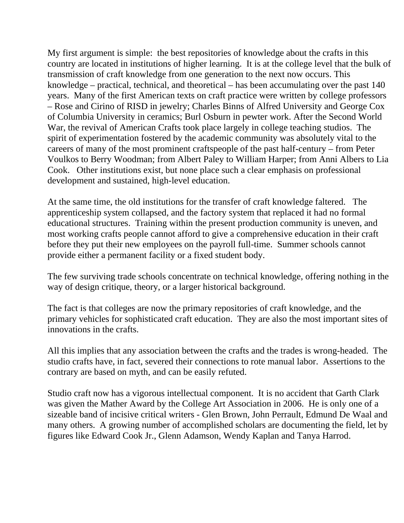My first argument is simple: the best repositories of knowledge about the crafts in this country are located in institutions of higher learning. It is at the college level that the bulk of transmission of craft knowledge from one generation to the next now occurs. This knowledge – practical, technical, and theoretical – has been accumulating over the past 140 years. Many of the first American texts on craft practice were written by college professors – Rose and Cirino of RISD in jewelry; Charles Binns of Alfred University and George Cox of Columbia University in ceramics; Burl Osburn in pewter work. After the Second World War, the revival of American Crafts took place largely in college teaching studios. The spirit of experimentation fostered by the academic community was absolutely vital to the careers of many of the most prominent craftspeople of the past half-century – from Peter Voulkos to Berry Woodman; from Albert Paley to William Harper; from Anni Albers to Lia Cook. Other institutions exist, but none place such a clear emphasis on professional development and sustained, high-level education.

At the same time, the old institutions for the transfer of craft knowledge faltered. The apprenticeship system collapsed, and the factory system that replaced it had no formal educational structures. Training within the present production community is uneven, and most working crafts people cannot afford to give a comprehensive education in their craft before they put their new employees on the payroll full-time. Summer schools cannot provide either a permanent facility or a fixed student body.

The few surviving trade schools concentrate on technical knowledge, offering nothing in the way of design critique, theory, or a larger historical background.

The fact is that colleges are now the primary repositories of craft knowledge, and the primary vehicles for sophisticated craft education. They are also the most important sites of innovations in the crafts.

All this implies that any association between the crafts and the trades is wrong-headed. The studio crafts have, in fact, severed their connections to rote manual labor. Assertions to the contrary are based on myth, and can be easily refuted.

Studio craft now has a vigorous intellectual component. It is no accident that Garth Clark was given the Mather Award by the College Art Association in 2006. He is only one of a sizeable band of incisive critical writers - Glen Brown, John Perrault, Edmund De Waal and many others. A growing number of accomplished scholars are documenting the field, let by figures like Edward Cook Jr., Glenn Adamson, Wendy Kaplan and Tanya Harrod.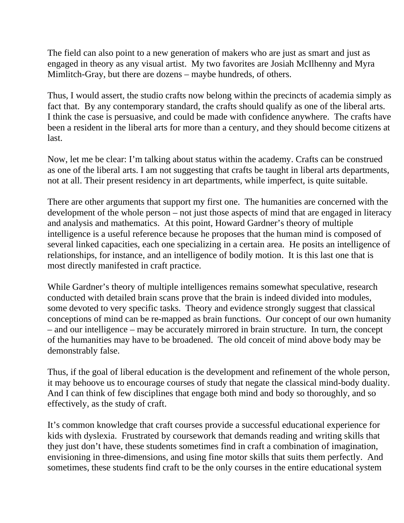The field can also point to a new generation of makers who are just as smart and just as engaged in theory as any visual artist. My two favorites are Josiah McIlhenny and Myra Mimlitch-Gray, but there are dozens – maybe hundreds, of others.

Thus, I would assert, the studio crafts now belong within the precincts of academia simply as fact that. By any contemporary standard, the crafts should qualify as one of the liberal arts. I think the case is persuasive, and could be made with confidence anywhere. The crafts have been a resident in the liberal arts for more than a century, and they should become citizens at last.

Now, let me be clear: I'm talking about status within the academy. Crafts can be construed as one of the liberal arts. I am not suggesting that crafts be taught in liberal arts departments, not at all. Their present residency in art departments, while imperfect, is quite suitable.

There are other arguments that support my first one. The humanities are concerned with the development of the whole person – not just those aspects of mind that are engaged in literacy and analysis and mathematics. At this point, Howard Gardner's theory of multiple intelligence is a useful reference because he proposes that the human mind is composed of several linked capacities, each one specializing in a certain area. He posits an intelligence of relationships, for instance, and an intelligence of bodily motion. It is this last one that is most directly manifested in craft practice.

While Gardner's theory of multiple intelligences remains somewhat speculative, research conducted with detailed brain scans prove that the brain is indeed divided into modules, some devoted to very specific tasks. Theory and evidence strongly suggest that classical conceptions of mind can be re-mapped as brain functions. Our concept of our own humanity – and our intelligence – may be accurately mirrored in brain structure. In turn, the concept of the humanities may have to be broadened. The old conceit of mind above body may be demonstrably false.

Thus, if the goal of liberal education is the development and refinement of the whole person, it may behoove us to encourage courses of study that negate the classical mind-body duality. And I can think of few disciplines that engage both mind and body so thoroughly, and so effectively, as the study of craft.

It's common knowledge that craft courses provide a successful educational experience for kids with dyslexia. Frustrated by coursework that demands reading and writing skills that they just don't have, these students sometimes find in craft a combination of imagination, envisioning in three-dimensions, and using fine motor skills that suits them perfectly. And sometimes, these students find craft to be the only courses in the entire educational system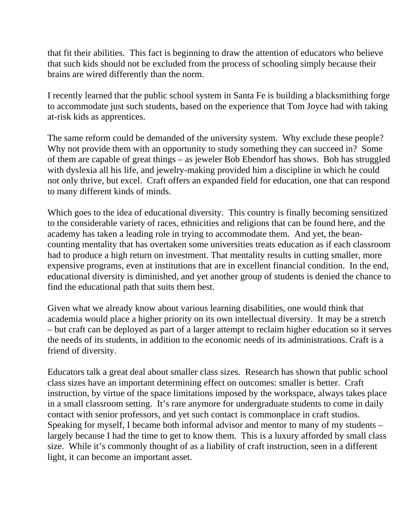that fit their abilities. This fact is beginning to draw the attention of educators who believe that such kids should not be excluded from the process of schooling simply because their brains are wired differently than the norm.

I recently learned that the public school system in Santa Fe is building a blacksmithing forge to accommodate just such students, based on the experience that Tom Joyce had with taking at-risk kids as apprentices.

The same reform could be demanded of the university system. Why exclude these people? Why not provide them with an opportunity to study something they can succeed in? Some of them are capable of great things – as jeweler Bob Ebendorf has shows. Bob has struggled with dyslexia all his life, and jewelry-making provided him a discipline in which he could not only thrive, but excel. Craft offers an expanded field for education, one that can respond to many different kinds of minds.

Which goes to the idea of educational diversity. This country is finally becoming sensitized to the considerable variety of races, ethnicities and religions that can be found here, and the academy has taken a leading role in trying to accommodate them. And yet, the beancounting mentality that has overtaken some universities treats education as if each classroom had to produce a high return on investment. That mentality results in cutting smaller, more expensive programs, even at institutions that are in excellent financial condition. In the end, educational diversity is diminished, and yet another group of students is denied the chance to find the educational path that suits them best.

Given what we already know about various learning disabilities, one would think that academia would place a higher priority on its own intellectual diversity. It may be a stretch – but craft can be deployed as part of a larger attempt to reclaim higher education so it serves the needs of its students, in addition to the economic needs of its administrations. Craft is a friend of diversity.

Educators talk a great deal about smaller class sizes. Research has shown that public school class sizes have an important determining effect on outcomes: smaller is better. Craft instruction, by virtue of the space limitations imposed by the workspace, always takes place in a small classroom setting. It's rare anymore for undergraduate students to come in daily contact with senior professors, and yet such contact is commonplace in craft studios. Speaking for myself, I became both informal advisor and mentor to many of my students – largely because I had the time to get to know them. This is a luxury afforded by small class size. While it's commonly thought of as a liability of craft instruction, seen in a different light, it can become an important asset.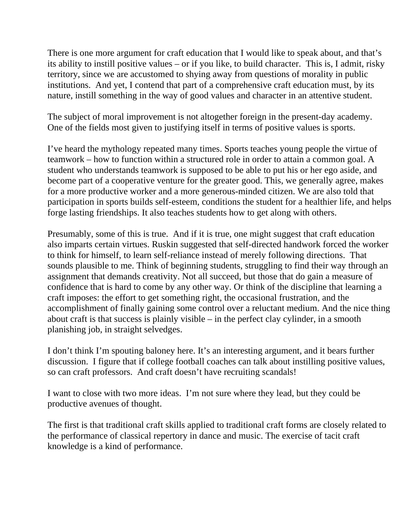There is one more argument for craft education that I would like to speak about, and that's its ability to instill positive values – or if you like, to build character. This is, I admit, risky territory, since we are accustomed to shying away from questions of morality in public institutions. And yet, I contend that part of a comprehensive craft education must, by its nature, instill something in the way of good values and character in an attentive student.

The subject of moral improvement is not altogether foreign in the present-day academy. One of the fields most given to justifying itself in terms of positive values is sports.

I've heard the mythology repeated many times. Sports teaches young people the virtue of teamwork – how to function within a structured role in order to attain a common goal. A student who understands teamwork is supposed to be able to put his or her ego aside, and become part of a cooperative venture for the greater good. This, we generally agree, makes for a more productive worker and a more generous-minded citizen. We are also told that participation in sports builds self-esteem, conditions the student for a healthier life, and helps forge lasting friendships. It also teaches students how to get along with others.

Presumably, some of this is true. And if it is true, one might suggest that craft education also imparts certain virtues. Ruskin suggested that self-directed handwork forced the worker to think for himself, to learn self-reliance instead of merely following directions. That sounds plausible to me. Think of beginning students, struggling to find their way through an assignment that demands creativity. Not all succeed, but those that do gain a measure of confidence that is hard to come by any other way. Or think of the discipline that learning a craft imposes: the effort to get something right, the occasional frustration, and the accomplishment of finally gaining some control over a reluctant medium. And the nice thing about craft is that success is plainly visible – in the perfect clay cylinder, in a smooth planishing job, in straight selvedges.

I don't think I'm spouting baloney here. It's an interesting argument, and it bears further discussion. I figure that if college football coaches can talk about instilling positive values, so can craft professors. And craft doesn't have recruiting scandals!

I want to close with two more ideas. I'm not sure where they lead, but they could be productive avenues of thought.

The first is that traditional craft skills applied to traditional craft forms are closely related to the performance of classical repertory in dance and music. The exercise of tacit craft knowledge is a kind of performance.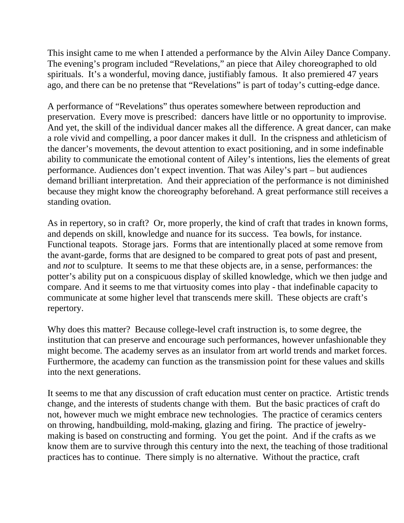This insight came to me when I attended a performance by the Alvin Ailey Dance Company. The evening's program included "Revelations," an piece that Ailey choreographed to old spirituals. It's a wonderful, moving dance, justifiably famous. It also premiered 47 years ago, and there can be no pretense that "Revelations" is part of today's cutting-edge dance.

A performance of "Revelations" thus operates somewhere between reproduction and preservation. Every move is prescribed: dancers have little or no opportunity to improvise. And yet, the skill of the individual dancer makes all the difference. A great dancer, can make a role vivid and compelling, a poor dancer makes it dull. In the crispness and athleticism of the dancer's movements, the devout attention to exact positioning, and in some indefinable ability to communicate the emotional content of Ailey's intentions, lies the elements of great performance. Audiences don't expect invention. That was Ailey's part – but audiences demand brilliant interpretation. And their appreciation of the performance is not diminished because they might know the choreography beforehand. A great performance still receives a standing ovation.

As in repertory, so in craft? Or, more properly, the kind of craft that trades in known forms, and depends on skill, knowledge and nuance for its success. Tea bowls, for instance. Functional teapots. Storage jars. Forms that are intentionally placed at some remove from the avant-garde, forms that are designed to be compared to great pots of past and present, and *not* to sculpture. It seems to me that these objects are, in a sense, performances: the potter's ability put on a conspicuous display of skilled knowledge, which we then judge and compare. And it seems to me that virtuosity comes into play - that indefinable capacity to communicate at some higher level that transcends mere skill. These objects are craft's repertory.

Why does this matter? Because college-level craft instruction is, to some degree, the institution that can preserve and encourage such performances, however unfashionable they might become. The academy serves as an insulator from art world trends and market forces. Furthermore, the academy can function as the transmission point for these values and skills into the next generations.

It seems to me that any discussion of craft education must center on practice. Artistic trends change, and the interests of students change with them. But the basic practices of craft do not, however much we might embrace new technologies. The practice of ceramics centers on throwing, handbuilding, mold-making, glazing and firing. The practice of jewelrymaking is based on constructing and forming. You get the point. And if the crafts as we know them are to survive through this century into the next, the teaching of those traditional practices has to continue. There simply is no alternative. Without the practice, craft